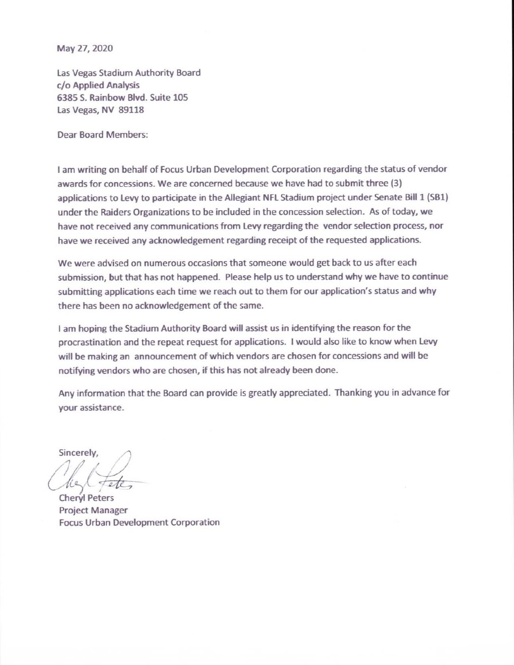May 27, 2020

Las Vegas Stadium Authority Board c/o Applied Analysis 6385 S. Rainbow Blvd. Suite 105 Las Vegas, NV 89118

**Dear Board Members:** 

I am writing on behalf of Focus Urban Development Corporation regarding the status of vendor awards for concessions. We are concerned because we have had to submit three (3) applications to Levy to participate in the Allegiant NFL Stadium project under Senate Bill 1 (SB1) under the Raiders Organizations to be included in the concession selection. As of today, we have not received any communications from Levy regarding the vendor selection process, nor have we received any acknowledgement regarding receipt of the requested applications.

We were advised on numerous occasions that someone would get back to us after each submission, but that has not happened. Please help us to understand why we have to continue submitting applications each time we reach out to them for our application's status and why there has been no acknowledgement of the same.

I am hoping the Stadium Authority Board will assist us in identifying the reason for the procrastination and the repeat request for applications. I would also like to know when Levy will be making an announcement of which vendors are chosen for concessions and will be notifying vendors who are chosen, if this has not already been done.

Any information that the Board can provide is greatly appreciated. Thanking you in advance for vour assistance.

Sincerely,

**Chervi Peters Project Manager** Focus Urban Development Corporation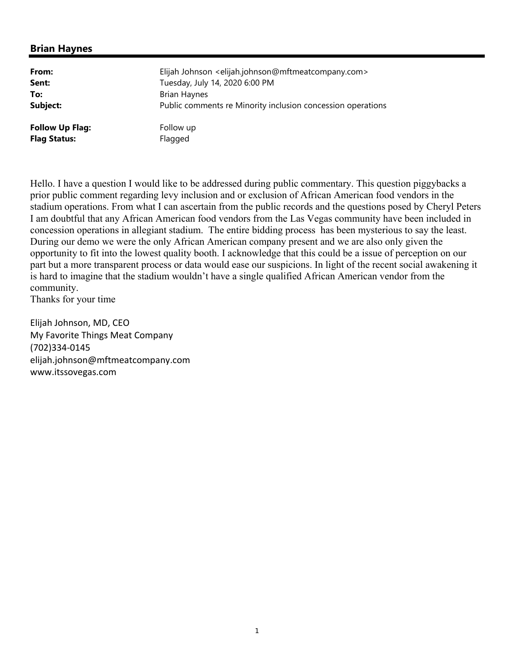## **Brian Haynes**

| From:                  | Elijah Johnson <elijah.johnson@mftmeatcompany.com></elijah.johnson@mftmeatcompany.com> |
|------------------------|----------------------------------------------------------------------------------------|
| Sent:                  | Tuesday, July 14, 2020 6:00 PM                                                         |
| To:                    | <b>Brian Haynes</b>                                                                    |
| Subject:               | Public comments re Minority inclusion concession operations                            |
| <b>Follow Up Flag:</b> | Follow up                                                                              |
| <b>Flag Status:</b>    | Flagged                                                                                |

Hello. I have a question I would like to be addressed during public commentary. This question piggybacks a prior public comment regarding levy inclusion and or exclusion of African American food vendors in the stadium operations. From what I can ascertain from the public records and the questions posed by Cheryl Peters I am doubtful that any African American food vendors from the Las Vegas community have been included in concession operations in allegiant stadium. The entire bidding process has been mysterious to say the least. During our demo we were the only African American company present and we are also only given the opportunity to fit into the lowest quality booth. I acknowledge that this could be a issue of perception on our part but a more transparent process or data would ease our suspicions. In light of the recent social awakening it is hard to imagine that the stadium wouldn't have a single qualified African American vendor from the community.

Thanks for your time

Elijah Johnson, MD, CEO My Favorite Things Meat Company (702)334‐0145 elijah.johnson@mftmeatcompany.com www.itssovegas.com